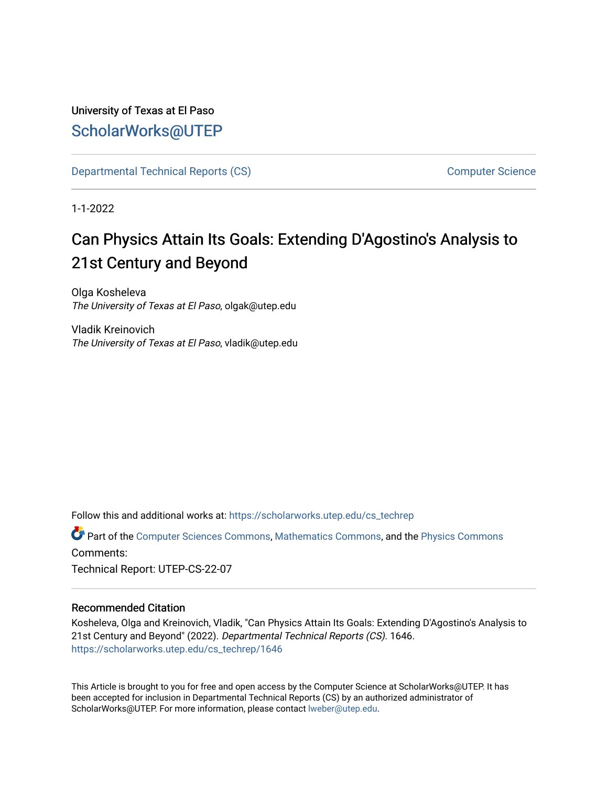# University of Texas at El Paso [ScholarWorks@UTEP](https://scholarworks.utep.edu/)

[Departmental Technical Reports \(CS\)](https://scholarworks.utep.edu/cs_techrep) [Computer Science](https://scholarworks.utep.edu/computer) 

1-1-2022

# Can Physics Attain Its Goals: Extending D'Agostino's Analysis to 21st Century and Beyond

Olga Kosheleva The University of Texas at El Paso, olgak@utep.edu

Vladik Kreinovich The University of Texas at El Paso, vladik@utep.edu

Follow this and additional works at: [https://scholarworks.utep.edu/cs\\_techrep](https://scholarworks.utep.edu/cs_techrep?utm_source=scholarworks.utep.edu%2Fcs_techrep%2F1646&utm_medium=PDF&utm_campaign=PDFCoverPages) 

Part of the [Computer Sciences Commons](http://network.bepress.com/hgg/discipline/142?utm_source=scholarworks.utep.edu%2Fcs_techrep%2F1646&utm_medium=PDF&utm_campaign=PDFCoverPages), [Mathematics Commons](http://network.bepress.com/hgg/discipline/174?utm_source=scholarworks.utep.edu%2Fcs_techrep%2F1646&utm_medium=PDF&utm_campaign=PDFCoverPages), and the [Physics Commons](http://network.bepress.com/hgg/discipline/193?utm_source=scholarworks.utep.edu%2Fcs_techrep%2F1646&utm_medium=PDF&utm_campaign=PDFCoverPages) Comments:

Technical Report: UTEP-CS-22-07

# Recommended Citation

Kosheleva, Olga and Kreinovich, Vladik, "Can Physics Attain Its Goals: Extending D'Agostino's Analysis to 21st Century and Beyond" (2022). Departmental Technical Reports (CS). 1646. [https://scholarworks.utep.edu/cs\\_techrep/1646](https://scholarworks.utep.edu/cs_techrep/1646?utm_source=scholarworks.utep.edu%2Fcs_techrep%2F1646&utm_medium=PDF&utm_campaign=PDFCoverPages) 

This Article is brought to you for free and open access by the Computer Science at ScholarWorks@UTEP. It has been accepted for inclusion in Departmental Technical Reports (CS) by an authorized administrator of ScholarWorks@UTEP. For more information, please contact [lweber@utep.edu](mailto:lweber@utep.edu).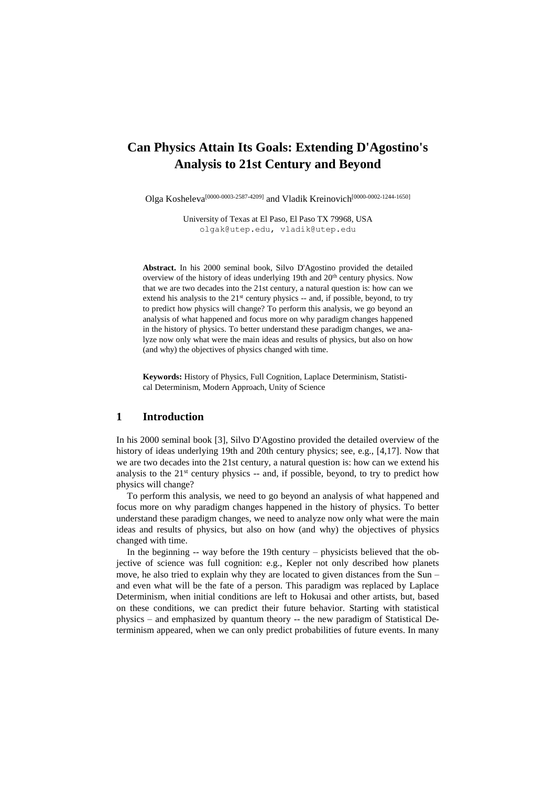# **Can Physics Attain Its Goals: Extending D'Agostino's Analysis to 21st Century and Beyond**

Olga Kosheleva<sup>[0000-0003-2587-4209]</sup> and Vladik Kreinovich<sup>[0000-0002-1244-1650]</sup>

University of Texas at El Paso, El Paso TX 79968, USA [olgak@utep.edu,](mailto:olgak@utep.edu) [vladik@utep.edu](mailto:vladik@utep.edu)

**Abstract.** In his 2000 seminal book, Silvo D'Agostino provided the detailed overview of the history of ideas underlying 19th and 20<sup>th</sup> century physics. Now that we are two decades into the 21st century, a natural question is: how can we extend his analysis to the  $21<sup>st</sup>$  century physics  $-$  and, if possible, beyond, to try to predict how physics will change? To perform this analysis, we go beyond an analysis of what happened and focus more on why paradigm changes happened in the history of physics. To better understand these paradigm changes, we analyze now only what were the main ideas and results of physics, but also on how (and why) the objectives of physics changed with time.

**Keywords:** History of Physics, Full Cognition, Laplace Determinism, Statistical Determinism, Modern Approach, Unity of Science

# **1 Introduction**

In his 2000 seminal book [3], Silvo D'Agostino provided the detailed overview of the history of ideas underlying 19th and 20th century physics; see, e.g., [4,17]. Now that we are two decades into the 21st century, a natural question is: how can we extend his analysis to the  $21<sup>st</sup>$  century physics  $-$  and, if possible, beyond, to try to predict how physics will change?

To perform this analysis, we need to go beyond an analysis of what happened and focus more on why paradigm changes happened in the history of physics. To better understand these paradigm changes, we need to analyze now only what were the main ideas and results of physics, but also on how (and why) the objectives of physics changed with time.

In the beginning -- way before the 19th century – physicists believed that the objective of science was full cognition: e.g., Kepler not only described how planets move, he also tried to explain why they are located to given distances from the Sun – and even what will be the fate of a person. This paradigm was replaced by Laplace Determinism, when initial conditions are left to Hokusai and other artists, but, based on these conditions, we can predict their future behavior. Starting with statistical physics – and emphasized by quantum theory -- the new paradigm of Statistical Determinism appeared, when we can only predict probabilities of future events. In many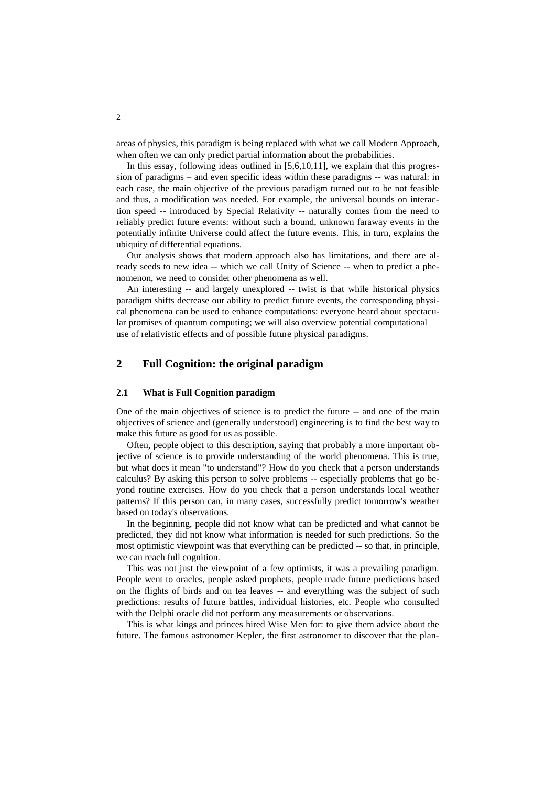areas of physics, this paradigm is being replaced with what we call Modern Approach, when often we can only predict partial information about the probabilities.

In this essay, following ideas outlined in [5,6,10,11], we explain that this progression of paradigms – and even specific ideas within these paradigms -- was natural: in each case, the main objective of the previous paradigm turned out to be not feasible and thus, a modification was needed. For example, the universal bounds on interaction speed -- introduced by Special Relativity -- naturally comes from the need to reliably predict future events: without such a bound, unknown faraway events in the potentially infinite Universe could affect the future events. This, in turn, explains the ubiquity of differential equations.

Our analysis shows that modern approach also has limitations, and there are already seeds to new idea -- which we call Unity of Science -- when to predict a phenomenon, we need to consider other phenomena as well.

An interesting -- and largely unexplored -- twist is that while historical physics paradigm shifts decrease our ability to predict future events, the corresponding physical phenomena can be used to enhance computations: everyone heard about spectacular promises of quantum computing; we will also overview potential computational use of relativistic effects and of possible future physical paradigms.

# **2 Full Cognition: the original paradigm**

#### **2.1 What is Full Cognition paradigm**

One of the main objectives of science is to predict the future -- and one of the main objectives of science and (generally understood) engineering is to find the best way to make this future as good for us as possible.

Often, people object to this description, saying that probably a more important objective of science is to provide understanding of the world phenomena. This is true, but what does it mean "to understand"? How do you check that a person understands calculus? By asking this person to solve problems -- especially problems that go beyond routine exercises. How do you check that a person understands local weather patterns? If this person can, in many cases, successfully predict tomorrow's weather based on today's observations.

In the beginning, people did not know what can be predicted and what cannot be predicted, they did not know what information is needed for such predictions. So the most optimistic viewpoint was that everything can be predicted -- so that, in principle, we can reach full cognition.

This was not just the viewpoint of a few optimists, it was a prevailing paradigm. People went to oracles, people asked prophets, people made future predictions based on the flights of birds and on tea leaves -- and everything was the subject of such predictions: results of future battles, individual histories, etc. People who consulted with the Delphi oracle did not perform any measurements or observations.

This is what kings and princes hired Wise Men for: to give them advice about the future. The famous astronomer Kepler, the first astronomer to discover that the plan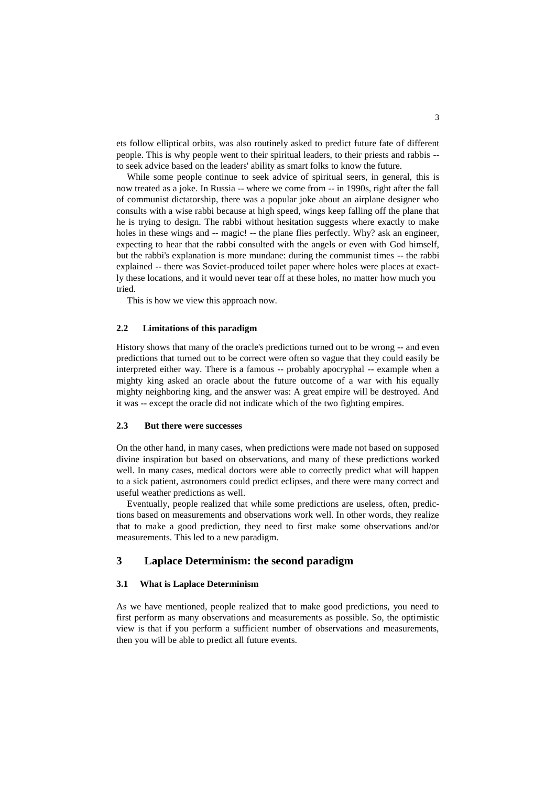ets follow elliptical orbits, was also routinely asked to predict future fate of different people. This is why people went to their spiritual leaders, to their priests and rabbis - to seek advice based on the leaders' ability as smart folks to know the future.

While some people continue to seek advice of spiritual seers, in general, this is now treated as a joke. In Russia -- where we come from -- in 1990s, right after the fall of communist dictatorship, there was a popular joke about an airplane designer who consults with a wise rabbi because at high speed, wings keep falling off the plane that he is trying to design. The rabbi without hesitation suggests where exactly to make holes in these wings and -- magic! -- the plane flies perfectly. Why? ask an engineer, expecting to hear that the rabbi consulted with the angels or even with God himself, but the rabbi's explanation is more mundane: during the communist times -- the rabbi explained -- there was Soviet-produced toilet paper where holes were places at exactly these locations, and it would never tear off at these holes, no matter how much you tried.

This is how we view this approach now.

#### **2.2 Limitations of this paradigm**

History shows that many of the oracle's predictions turned out to be wrong -- and even predictions that turned out to be correct were often so vague that they could easily be interpreted either way. There is a famous -- probably apocryphal -- example when a mighty king asked an oracle about the future outcome of a war with his equally mighty neighboring king, and the answer was: A great empire will be destroyed. And it was -- except the oracle did not indicate which of the two fighting empires.

#### **2.3 But there were successes**

On the other hand, in many cases, when predictions were made not based on supposed divine inspiration but based on observations, and many of these predictions worked well. In many cases, medical doctors were able to correctly predict what will happen to a sick patient, astronomers could predict eclipses, and there were many correct and useful weather predictions as well.

Eventually, people realized that while some predictions are useless, often, predictions based on measurements and observations work well. In other words, they realize that to make a good prediction, they need to first make some observations and/or measurements. This led to a new paradigm.

# **3 Laplace Determinism: the second paradigm**

#### **3.1 What is Laplace Determinism**

As we have mentioned, people realized that to make good predictions, you need to first perform as many observations and measurements as possible. So, the optimistic view is that if you perform a sufficient number of observations and measurements, then you will be able to predict all future events.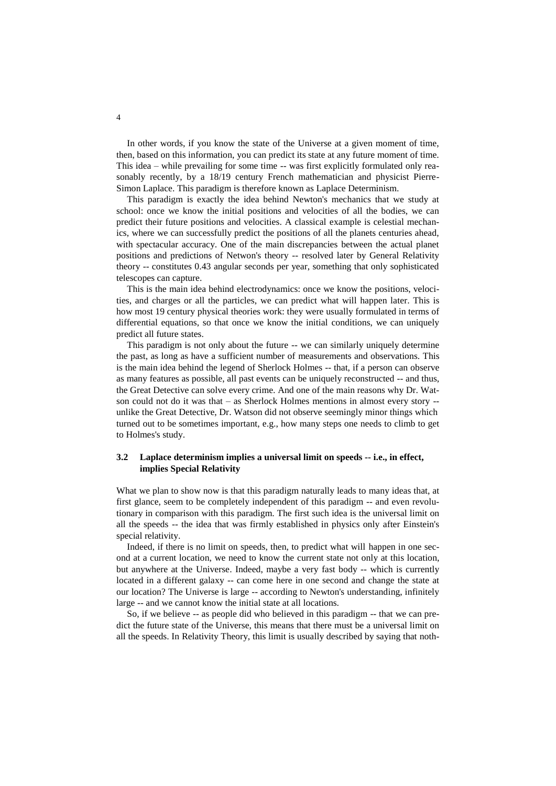In other words, if you know the state of the Universe at a given moment of time, then, based on this information, you can predict its state at any future moment of time. This idea – while prevailing for some time -- was first explicitly formulated only reasonably recently, by a 18/19 century French mathematician and physicist Pierre-Simon Laplace. This paradigm is therefore known as Laplace Determinism.

This paradigm is exactly the idea behind Newton's mechanics that we study at school: once we know the initial positions and velocities of all the bodies, we can predict their future positions and velocities. A classical example is celestial mechanics, where we can successfully predict the positions of all the planets centuries ahead, with spectacular accuracy. One of the main discrepancies between the actual planet positions and predictions of Netwon's theory -- resolved later by General Relativity theory -- constitutes 0.43 angular seconds per year, something that only sophisticated telescopes can capture.

This is the main idea behind electrodynamics: once we know the positions, velocities, and charges or all the particles, we can predict what will happen later. This is how most 19 century physical theories work: they were usually formulated in terms of differential equations, so that once we know the initial conditions, we can uniquely predict all future states.

This paradigm is not only about the future -- we can similarly uniquely determine the past, as long as have a sufficient number of measurements and observations. This is the main idea behind the legend of Sherlock Holmes -- that, if a person can observe as many features as possible, all past events can be uniquely reconstructed -- and thus, the Great Detective can solve every crime. And one of the main reasons why Dr. Watson could not do it was that – as Sherlock Holmes mentions in almost every story - unlike the Great Detective, Dr. Watson did not observe seemingly minor things which turned out to be sometimes important, e.g., how many steps one needs to climb to get to Holmes's study.

## **3.2 Laplace determinism implies a universal limit on speeds -- i.e., in effect, implies Special Relativity**

What we plan to show now is that this paradigm naturally leads to many ideas that, at first glance, seem to be completely independent of this paradigm -- and even revolutionary in comparison with this paradigm. The first such idea is the universal limit on all the speeds -- the idea that was firmly established in physics only after Einstein's special relativity.

Indeed, if there is no limit on speeds, then, to predict what will happen in one second at a current location, we need to know the current state not only at this location, but anywhere at the Universe. Indeed, maybe a very fast body -- which is currently located in a different galaxy -- can come here in one second and change the state at our location? The Universe is large -- according to Newton's understanding, infinitely large -- and we cannot know the initial state at all locations.

So, if we believe -- as people did who believed in this paradigm -- that we can predict the future state of the Universe, this means that there must be a universal limit on all the speeds. In Relativity Theory, this limit is usually described by saying that noth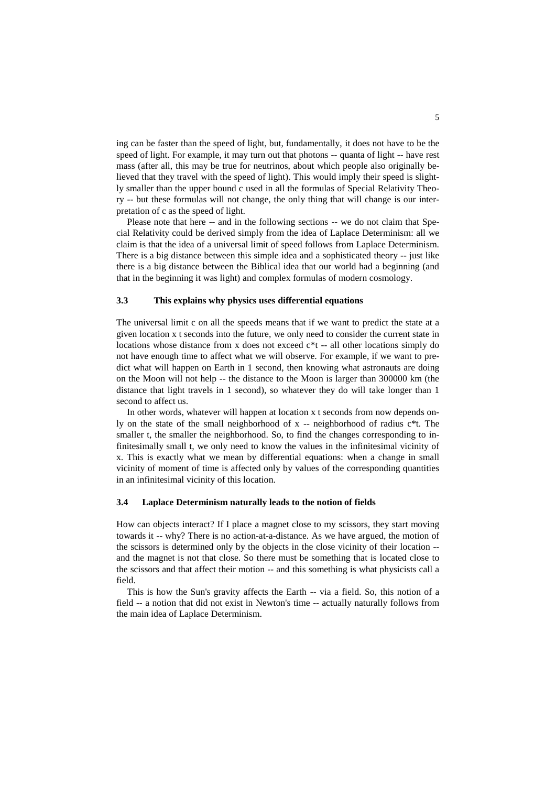ing can be faster than the speed of light, but, fundamentally, it does not have to be the speed of light. For example, it may turn out that photons -- quanta of light -- have rest mass (after all, this may be true for neutrinos, about which people also originally believed that they travel with the speed of light). This would imply their speed is slightly smaller than the upper bound c used in all the formulas of Special Relativity Theory -- but these formulas will not change, the only thing that will change is our interpretation of c as the speed of light.

Please note that here -- and in the following sections -- we do not claim that Special Relativity could be derived simply from the idea of Laplace Determinism: all we claim is that the idea of a universal limit of speed follows from Laplace Determinism. There is a big distance between this simple idea and a sophisticated theory -- just like there is a big distance between the Biblical idea that our world had a beginning (and that in the beginning it was light) and complex formulas of modern cosmology.

#### **3.3 This explains why physics uses differential equations**

The universal limit c on all the speeds means that if we want to predict the state at a given location x t seconds into the future, we only need to consider the current state in locations whose distance from x does not exceed  $c^*t$  -- all other locations simply do not have enough time to affect what we will observe. For example, if we want to predict what will happen on Earth in 1 second, then knowing what astronauts are doing on the Moon will not help -- the distance to the Moon is larger than 300000 km (the distance that light travels in 1 second), so whatever they do will take longer than 1 second to affect us.

In other words, whatever will happen at location x t seconds from now depends only on the state of the small neighborhood of x -- neighborhood of radius c\*t. The smaller t, the smaller the neighborhood. So, to find the changes corresponding to infinitesimally small t, we only need to know the values in the infinitesimal vicinity of x. This is exactly what we mean by differential equations: when a change in small vicinity of moment of time is affected only by values of the corresponding quantities in an infinitesimal vicinity of this location.

#### **3.4 Laplace Determinism naturally leads to the notion of fields**

How can objects interact? If I place a magnet close to my scissors, they start moving towards it -- why? There is no action-at-a-distance. As we have argued, the motion of the scissors is determined only by the objects in the close vicinity of their location - and the magnet is not that close. So there must be something that is located close to the scissors and that affect their motion -- and this something is what physicists call a field.

This is how the Sun's gravity affects the Earth -- via a field. So, this notion of a field -- a notion that did not exist in Newton's time -- actually naturally follows from the main idea of Laplace Determinism.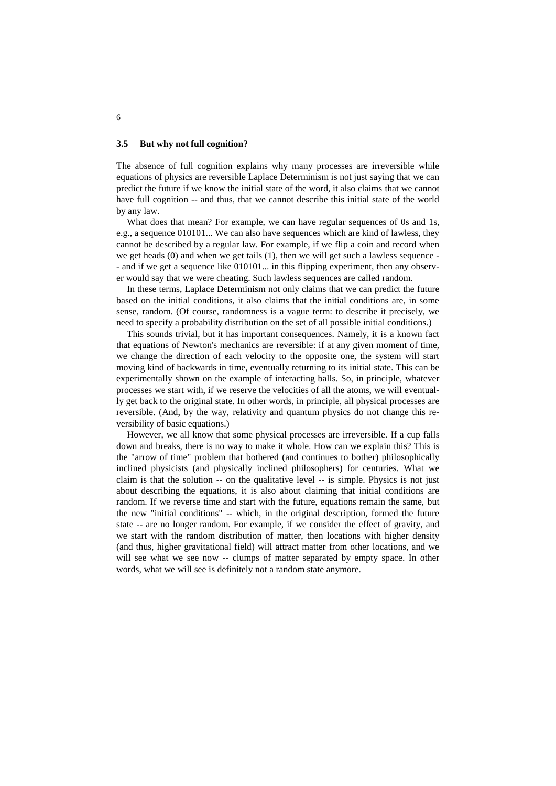#### **3.5 But why not full cognition?**

The absence of full cognition explains why many processes are irreversible while equations of physics are reversible Laplace Determinism is not just saying that we can predict the future if we know the initial state of the word, it also claims that we cannot have full cognition -- and thus, that we cannot describe this initial state of the world by any law.

What does that mean? For example, we can have regular sequences of 0s and 1s, e.g., a sequence 010101... We can also have sequences which are kind of lawless, they cannot be described by a regular law. For example, if we flip a coin and record when we get heads (0) and when we get tails (1), then we will get such a lawless sequence - - and if we get a sequence like 010101... in this flipping experiment, then any observer would say that we were cheating. Such lawless sequences are called random.

In these terms, Laplace Determinism not only claims that we can predict the future based on the initial conditions, it also claims that the initial conditions are, in some sense, random. (Of course, randomness is a vague term: to describe it precisely, we need to specify a probability distribution on the set of all possible initial conditions.)

This sounds trivial, but it has important consequences. Namely, it is a known fact that equations of Newton's mechanics are reversible: if at any given moment of time, we change the direction of each velocity to the opposite one, the system will start moving kind of backwards in time, eventually returning to its initial state. This can be experimentally shown on the example of interacting balls. So, in principle, whatever processes we start with, if we reserve the velocities of all the atoms, we will eventually get back to the original state. In other words, in principle, all physical processes are reversible. (And, by the way, relativity and quantum physics do not change this reversibility of basic equations.)

However, we all know that some physical processes are irreversible. If a cup falls down and breaks, there is no way to make it whole. How can we explain this? This is the "arrow of time" problem that bothered (and continues to bother) philosophically inclined physicists (and physically inclined philosophers) for centuries. What we claim is that the solution -- on the qualitative level -- is simple. Physics is not just about describing the equations, it is also about claiming that initial conditions are random. If we reverse time and start with the future, equations remain the same, but the new "initial conditions" -- which, in the original description, formed the future state -- are no longer random. For example, if we consider the effect of gravity, and we start with the random distribution of matter, then locations with higher density (and thus, higher gravitational field) will attract matter from other locations, and we will see what we see now -- clumps of matter separated by empty space. In other words, what we will see is definitely not a random state anymore.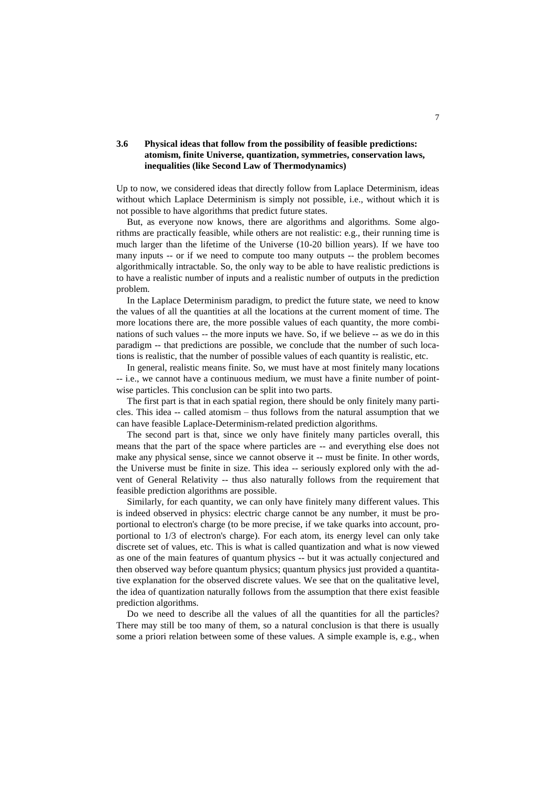# **3.6 Physical ideas that follow from the possibility of feasible predictions: atomism, finite Universe, quantization, symmetries, conservation laws, inequalities (like Second Law of Thermodynamics)**

Up to now, we considered ideas that directly follow from Laplace Determinism, ideas without which Laplace Determinism is simply not possible, i.e., without which it is not possible to have algorithms that predict future states.

But, as everyone now knows, there are algorithms and algorithms. Some algorithms are practically feasible, while others are not realistic: e.g., their running time is much larger than the lifetime of the Universe (10-20 billion years). If we have too many inputs -- or if we need to compute too many outputs -- the problem becomes algorithmically intractable. So, the only way to be able to have realistic predictions is to have a realistic number of inputs and a realistic number of outputs in the prediction problem.

In the Laplace Determinism paradigm, to predict the future state, we need to know the values of all the quantities at all the locations at the current moment of time. The more locations there are, the more possible values of each quantity, the more combinations of such values -- the more inputs we have. So, if we believe -- as we do in this paradigm -- that predictions are possible, we conclude that the number of such locations is realistic, that the number of possible values of each quantity is realistic, etc.

In general, realistic means finite. So, we must have at most finitely many locations -- i.e., we cannot have a continuous medium, we must have a finite number of pointwise particles. This conclusion can be split into two parts.

The first part is that in each spatial region, there should be only finitely many particles. This idea -- called atomism – thus follows from the natural assumption that we can have feasible Laplace-Determinism-related prediction algorithms.

The second part is that, since we only have finitely many particles overall, this means that the part of the space where particles are -- and everything else does not make any physical sense, since we cannot observe it -- must be finite. In other words, the Universe must be finite in size. This idea -- seriously explored only with the advent of General Relativity -- thus also naturally follows from the requirement that feasible prediction algorithms are possible.

Similarly, for each quantity, we can only have finitely many different values. This is indeed observed in physics: electric charge cannot be any number, it must be proportional to electron's charge (to be more precise, if we take quarks into account, proportional to 1/3 of electron's charge). For each atom, its energy level can only take discrete set of values, etc. This is what is called quantization and what is now viewed as one of the main features of quantum physics -- but it was actually conjectured and then observed way before quantum physics; quantum physics just provided a quantitative explanation for the observed discrete values. We see that on the qualitative level, the idea of quantization naturally follows from the assumption that there exist feasible prediction algorithms.

Do we need to describe all the values of all the quantities for all the particles? There may still be too many of them, so a natural conclusion is that there is usually some a priori relation between some of these values. A simple example is, e.g., when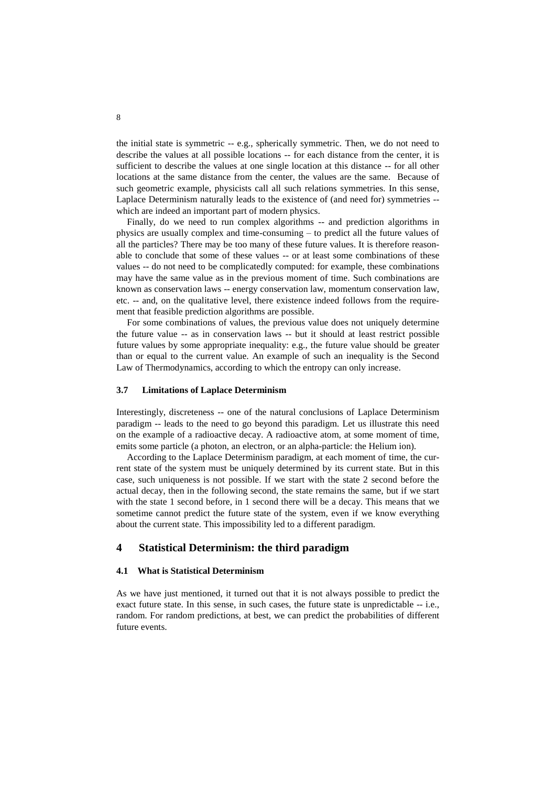the initial state is symmetric -- e.g., spherically symmetric. Then, we do not need to describe the values at all possible locations -- for each distance from the center, it is sufficient to describe the values at one single location at this distance -- for all other locations at the same distance from the center, the values are the same. Because of such geometric example, physicists call all such relations symmetries. In this sense, Laplace Determinism naturally leads to the existence of (and need for) symmetries - which are indeed an important part of modern physics.

Finally, do we need to run complex algorithms -- and prediction algorithms in physics are usually complex and time-consuming – to predict all the future values of all the particles? There may be too many of these future values. It is therefore reasonable to conclude that some of these values -- or at least some combinations of these values -- do not need to be complicatedly computed: for example, these combinations may have the same value as in the previous moment of time. Such combinations are known as conservation laws -- energy conservation law, momentum conservation law, etc. -- and, on the qualitative level, there existence indeed follows from the requirement that feasible prediction algorithms are possible.

For some combinations of values, the previous value does not uniquely determine the future value -- as in conservation laws -- but it should at least restrict possible future values by some appropriate inequality: e.g., the future value should be greater than or equal to the current value. An example of such an inequality is the Second Law of Thermodynamics, according to which the entropy can only increase.

#### **3.7 Limitations of Laplace Determinism**

Interestingly, discreteness -- one of the natural conclusions of Laplace Determinism paradigm -- leads to the need to go beyond this paradigm. Let us illustrate this need on the example of a radioactive decay. A radioactive atom, at some moment of time, emits some particle (a photon, an electron, or an alpha-particle: the Helium ion).

According to the Laplace Determinism paradigm, at each moment of time, the current state of the system must be uniquely determined by its current state. But in this case, such uniqueness is not possible. If we start with the state 2 second before the actual decay, then in the following second, the state remains the same, but if we start with the state 1 second before, in 1 second there will be a decay. This means that we sometime cannot predict the future state of the system, even if we know everything about the current state. This impossibility led to a different paradigm.

# **4 Statistical Determinism: the third paradigm**

#### **4.1 What is Statistical Determinism**

As we have just mentioned, it turned out that it is not always possible to predict the exact future state. In this sense, in such cases, the future state is unpredictable -- i.e., random. For random predictions, at best, we can predict the probabilities of different future events.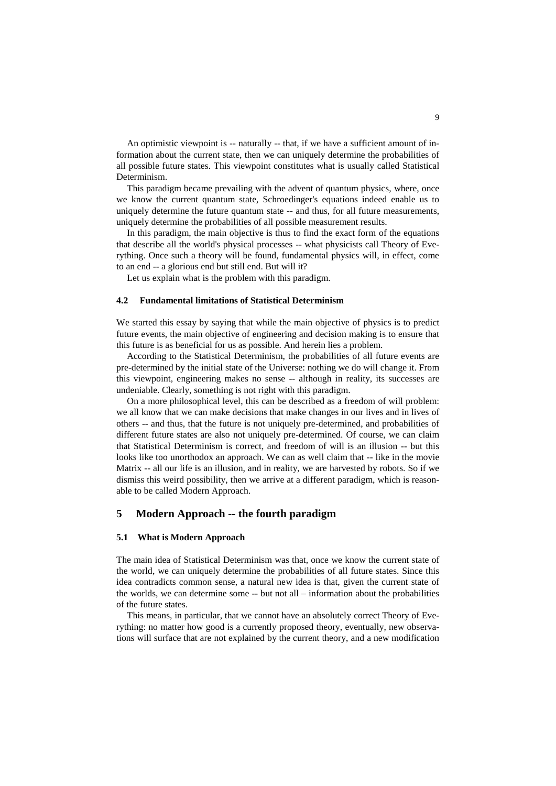An optimistic viewpoint is -- naturally -- that, if we have a sufficient amount of information about the current state, then we can uniquely determine the probabilities of all possible future states. This viewpoint constitutes what is usually called Statistical Determinism.

This paradigm became prevailing with the advent of quantum physics, where, once we know the current quantum state, Schroedinger's equations indeed enable us to uniquely determine the future quantum state -- and thus, for all future measurements, uniquely determine the probabilities of all possible measurement results.

In this paradigm, the main objective is thus to find the exact form of the equations that describe all the world's physical processes -- what physicists call Theory of Everything. Once such a theory will be found, fundamental physics will, in effect, come to an end -- a glorious end but still end. But will it?

Let us explain what is the problem with this paradigm.

#### **4.2 Fundamental limitations of Statistical Determinism**

We started this essay by saying that while the main objective of physics is to predict future events, the main objective of engineering and decision making is to ensure that this future is as beneficial for us as possible. And herein lies a problem.

According to the Statistical Determinism, the probabilities of all future events are pre-determined by the initial state of the Universe: nothing we do will change it. From this viewpoint, engineering makes no sense -- although in reality, its successes are undeniable. Clearly, something is not right with this paradigm.

On a more philosophical level, this can be described as a freedom of will problem: we all know that we can make decisions that make changes in our lives and in lives of others -- and thus, that the future is not uniquely pre-determined, and probabilities of different future states are also not uniquely pre-determined. Of course, we can claim that Statistical Determinism is correct, and freedom of will is an illusion -- but this looks like too unorthodox an approach. We can as well claim that -- like in the movie Matrix -- all our life is an illusion, and in reality, we are harvested by robots. So if we dismiss this weird possibility, then we arrive at a different paradigm, which is reasonable to be called Modern Approach.

# **5 Modern Approach -- the fourth paradigm**

#### **5.1 What is Modern Approach**

The main idea of Statistical Determinism was that, once we know the current state of the world, we can uniquely determine the probabilities of all future states. Since this idea contradicts common sense, a natural new idea is that, given the current state of the worlds, we can determine some -- but not all – information about the probabilities of the future states.

This means, in particular, that we cannot have an absolutely correct Theory of Everything: no matter how good is a currently proposed theory, eventually, new observations will surface that are not explained by the current theory, and a new modification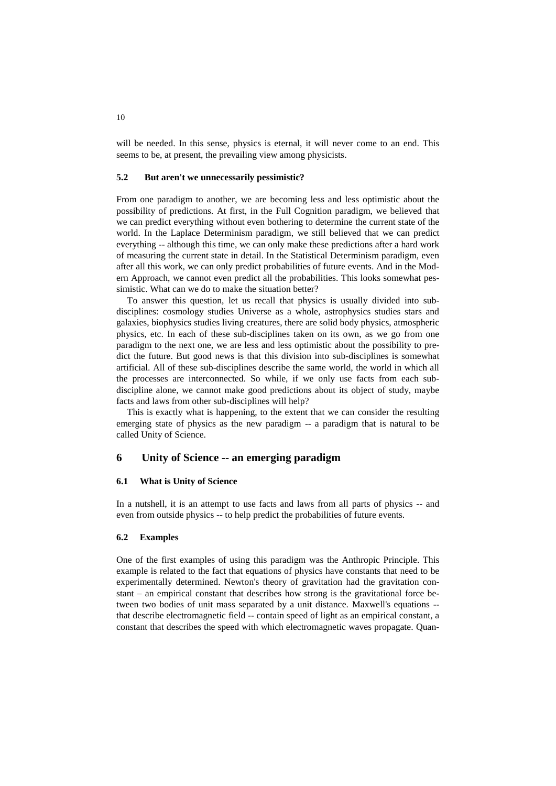will be needed. In this sense, physics is eternal, it will never come to an end. This seems to be, at present, the prevailing view among physicists.

## **5.2 But aren't we unnecessarily pessimistic?**

From one paradigm to another, we are becoming less and less optimistic about the possibility of predictions. At first, in the Full Cognition paradigm, we believed that we can predict everything without even bothering to determine the current state of the world. In the Laplace Determinism paradigm, we still believed that we can predict everything -- although this time, we can only make these predictions after a hard work of measuring the current state in detail. In the Statistical Determinism paradigm, even after all this work, we can only predict probabilities of future events. And in the Modern Approach, we cannot even predict all the probabilities. This looks somewhat pessimistic. What can we do to make the situation better?

To answer this question, let us recall that physics is usually divided into subdisciplines: cosmology studies Universe as a whole, astrophysics studies stars and galaxies, biophysics studies living creatures, there are solid body physics, atmospheric physics, etc. In each of these sub-disciplines taken on its own, as we go from one paradigm to the next one, we are less and less optimistic about the possibility to predict the future. But good news is that this division into sub-disciplines is somewhat artificial. All of these sub-disciplines describe the same world, the world in which all the processes are interconnected. So while, if we only use facts from each subdiscipline alone, we cannot make good predictions about its object of study, maybe facts and laws from other sub-disciplines will help?

This is exactly what is happening, to the extent that we can consider the resulting emerging state of physics as the new paradigm  $-$  a paradigm that is natural to be called Unity of Science.

## **6 Unity of Science -- an emerging paradigm**

#### **6.1 What is Unity of Science**

In a nutshell, it is an attempt to use facts and laws from all parts of physics -- and even from outside physics -- to help predict the probabilities of future events.

#### **6.2 Examples**

One of the first examples of using this paradigm was the Anthropic Principle. This example is related to the fact that equations of physics have constants that need to be experimentally determined. Newton's theory of gravitation had the gravitation constant – an empirical constant that describes how strong is the gravitational force between two bodies of unit mass separated by a unit distance. Maxwell's equations - that describe electromagnetic field -- contain speed of light as an empirical constant, a constant that describes the speed with which electromagnetic waves propagate. Quan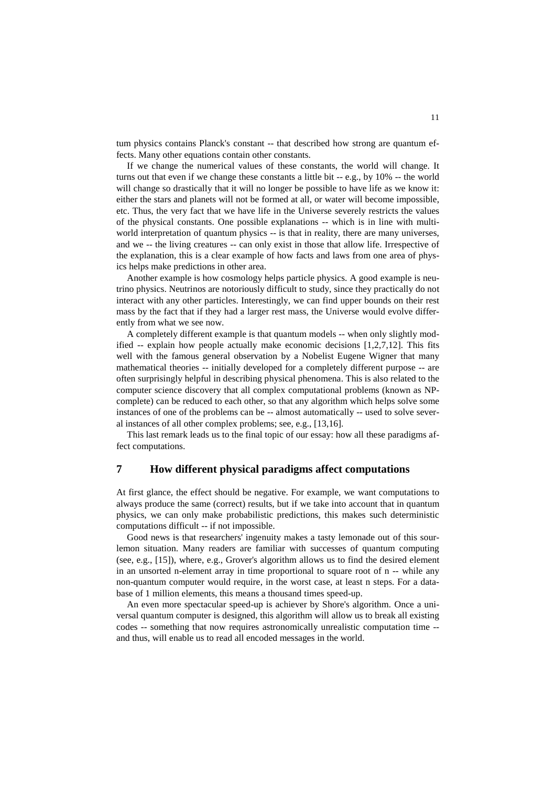tum physics contains Planck's constant -- that described how strong are quantum effects. Many other equations contain other constants.

If we change the numerical values of these constants, the world will change. It turns out that even if we change these constants a little bit -- e.g., by 10% -- the world will change so drastically that it will no longer be possible to have life as we know it: either the stars and planets will not be formed at all, or water will become impossible, etc. Thus, the very fact that we have life in the Universe severely restricts the values of the physical constants. One possible explanations -- which is in line with multiworld interpretation of quantum physics -- is that in reality, there are many universes, and we -- the living creatures -- can only exist in those that allow life. Irrespective of the explanation, this is a clear example of how facts and laws from one area of physics helps make predictions in other area.

Another example is how cosmology helps particle physics. A good example is neutrino physics. Neutrinos are notoriously difficult to study, since they practically do not interact with any other particles. Interestingly, we can find upper bounds on their rest mass by the fact that if they had a larger rest mass, the Universe would evolve differently from what we see now.

A completely different example is that quantum models -- when only slightly modified  $-$  explain how people actually make economic decisions  $[1,2,7,12]$ . This fits well with the famous general observation by a Nobelist Eugene Wigner that many mathematical theories -- initially developed for a completely different purpose -- are often surprisingly helpful in describing physical phenomena. This is also related to the computer science discovery that all complex computational problems (known as NPcomplete) can be reduced to each other, so that any algorithm which helps solve some instances of one of the problems can be -- almost automatically -- used to solve several instances of all other complex problems; see, e.g., [13,16].

This last remark leads us to the final topic of our essay: how all these paradigms affect computations.

# **7 How different physical paradigms affect computations**

At first glance, the effect should be negative. For example, we want computations to always produce the same (correct) results, but if we take into account that in quantum physics, we can only make probabilistic predictions, this makes such deterministic computations difficult -- if not impossible.

Good news is that researchers' ingenuity makes a tasty lemonade out of this sourlemon situation. Many readers are familiar with successes of quantum computing (see, e.g., [15]), where, e.g., Grover's algorithm allows us to find the desired element in an unsorted n-element array in time proportional to square root of n -- while any non-quantum computer would require, in the worst case, at least n steps. For a database of 1 million elements, this means a thousand times speed-up.

An even more spectacular speed-up is achiever by Shore's algorithm. Once a universal quantum computer is designed, this algorithm will allow us to break all existing codes -- something that now requires astronomically unrealistic computation time - and thus, will enable us to read all encoded messages in the world.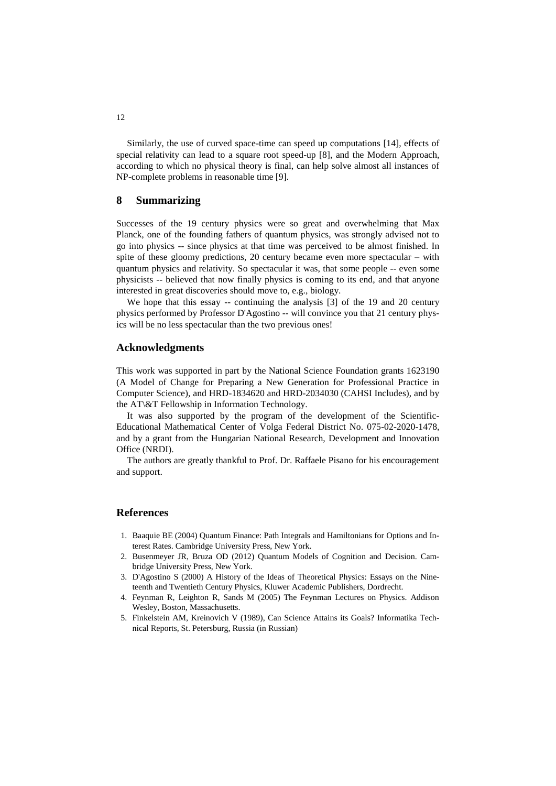Similarly, the use of curved space-time can speed up computations [14], effects of special relativity can lead to a square root speed-up [8], and the Modern Approach, according to which no physical theory is final, can help solve almost all instances of NP-complete problems in reasonable time [9].

## **8 Summarizing**

Successes of the 19 century physics were so great and overwhelming that Max Planck, one of the founding fathers of quantum physics, was strongly advised not to go into physics -- since physics at that time was perceived to be almost finished. In spite of these gloomy predictions, 20 century became even more spectacular – with quantum physics and relativity. So spectacular it was, that some people -- even some physicists -- believed that now finally physics is coming to its end, and that anyone interested in great discoveries should move to, e.g., biology.

We hope that this essay -- continuing the analysis [3] of the 19 and 20 century physics performed by Professor D'Agostino -- will convince you that 21 century physics will be no less spectacular than the two previous ones!

# **Acknowledgments**

This work was supported in part by the National Science Foundation grants 1623190 (A Model of Change for Preparing a New Generation for Professional Practice in Computer Science), and HRD-1834620 and HRD-2034030 (CAHSI Includes), and by the AT\&T Fellowship in Information Technology.

It was also supported by the program of the development of the Scientific-Educational Mathematical Center of Volga Federal District No. 075-02-2020-1478, and by a grant from the Hungarian National Research, Development and Innovation Office (NRDI).

The authors are greatly thankful to Prof. Dr. Raffaele Pisano for his encouragement and support.

# **References**

- 1. Baaquie BE (2004) Quantum Finance: Path Integrals and Hamiltonians for Options and Interest Rates. Cambridge University Press, New York.
- 2. Busenmeyer JR, Bruza OD (2012) Quantum Models of Cognition and Decision. Cambridge University Press, New York.
- 3. D'Agostino S (2000) A History of the Ideas of Theoretical Physics: Essays on the Nineteenth and Twentieth Century Physics, Kluwer Academic Publishers, Dordrecht.
- 4. Feynman R, Leighton R, Sands M (2005) The Feynman Lectures on Physics. Addison Wesley, Boston, Massachusetts.
- 5. Finkelstein AM, Kreinovich V (1989), Can Science Attains its Goals? Informatika Technical Reports, St. Petersburg, Russia (in Russian)